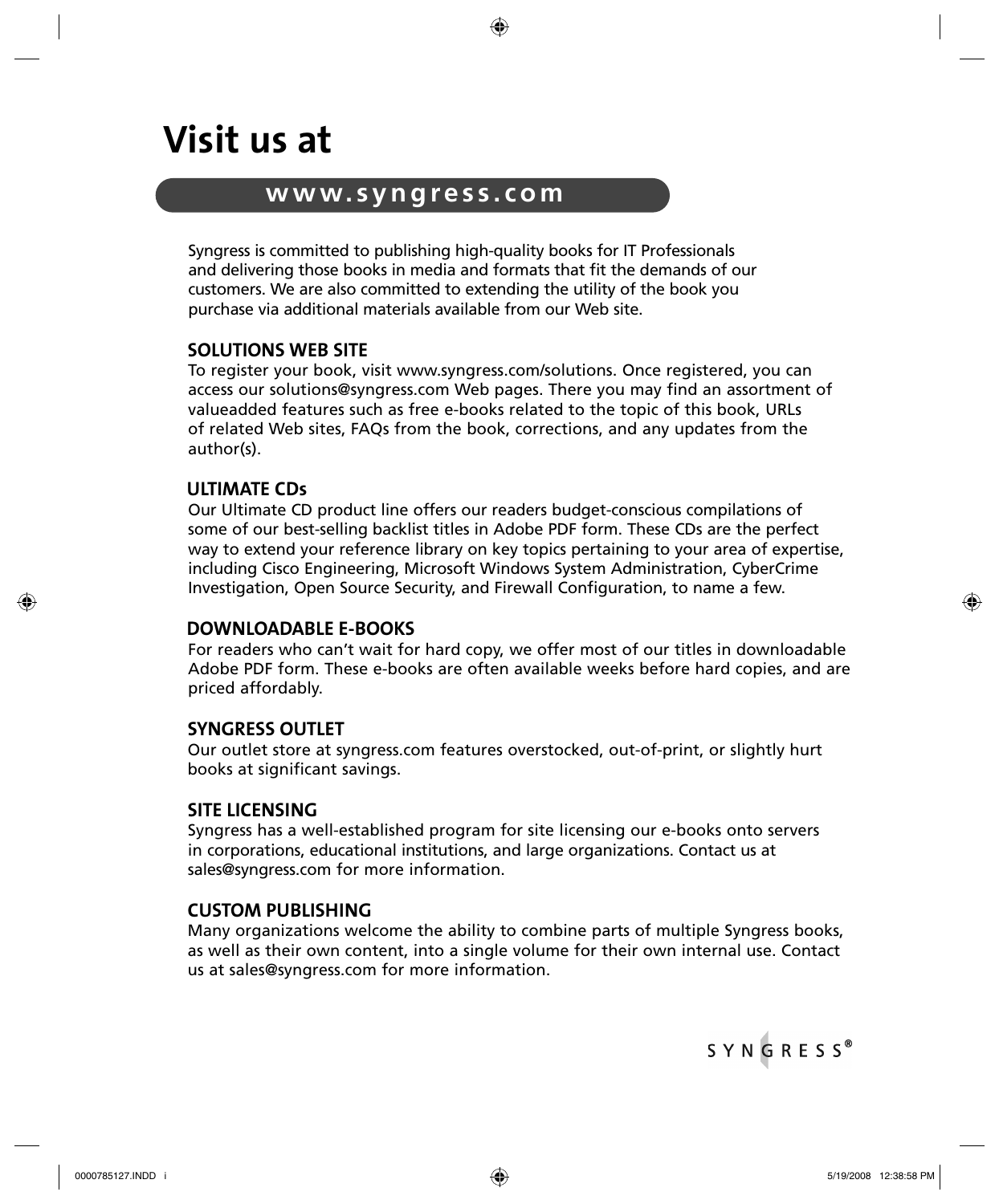## **Visit us at**

## **www.syngress.com**

Syngress is committed to publishing high-quality books for IT Professionals and delivering those books in media and formats that fit the demands of our cus tomers. We are also committed to extending the utility of the book you purchase via additional materials available from our Web site.

⊕

### **SOLUTIONS WEB SITE**

To register your book, visit www.syngress.com/solutions. Once registered, you can access our solutions@syngress.com Web pages. There you may find an assortment of valueadded features such as free e-books related to the topic of this book, URLs of related Web sites, FAQs from the book, corrections, and any updates from the author(s).

### **ULTIMATE CDs**

Our Ultimate CD product line offers our readers budget-conscious compilations of some of our best-selling backlist titles in Adobe PDF form. These CDs are the perfect way to extend your reference library on key topics pertaining to your area of expertise, including Cisco Engineering, Microsoft Windows System Administration, CyberCrime Investigation, Open Source Security, and Firewall Configuration, to name a few.

### **DOWNLOADABLE E-BOOKS**

For readers who can't wait for hard copy, we offer most of our titles in downloadable Adobe PDF form. These e-books are often available weeks before hard copies, and are priced affordably.

### **SYNGRESS OUTLET**

Our outlet store at syngress.com features overstocked, out-of-print, or slightly hurt books at significant savings.

### **SITE LICENSING**

Syngress has a well-established program for site licensing our e-books onto servers in corporations, educational institutions, and large organizations. Contact us at sales@syngress.com for more information.

### **CUSTOM PUBLISHING**

Many organizations welcome the ability to combine parts of multiple Syngress books, as well as their own content, into a single volume for their own internal use. Contact us at sales@syngress.com for more information.

SYNGRESS®

⊕

⊕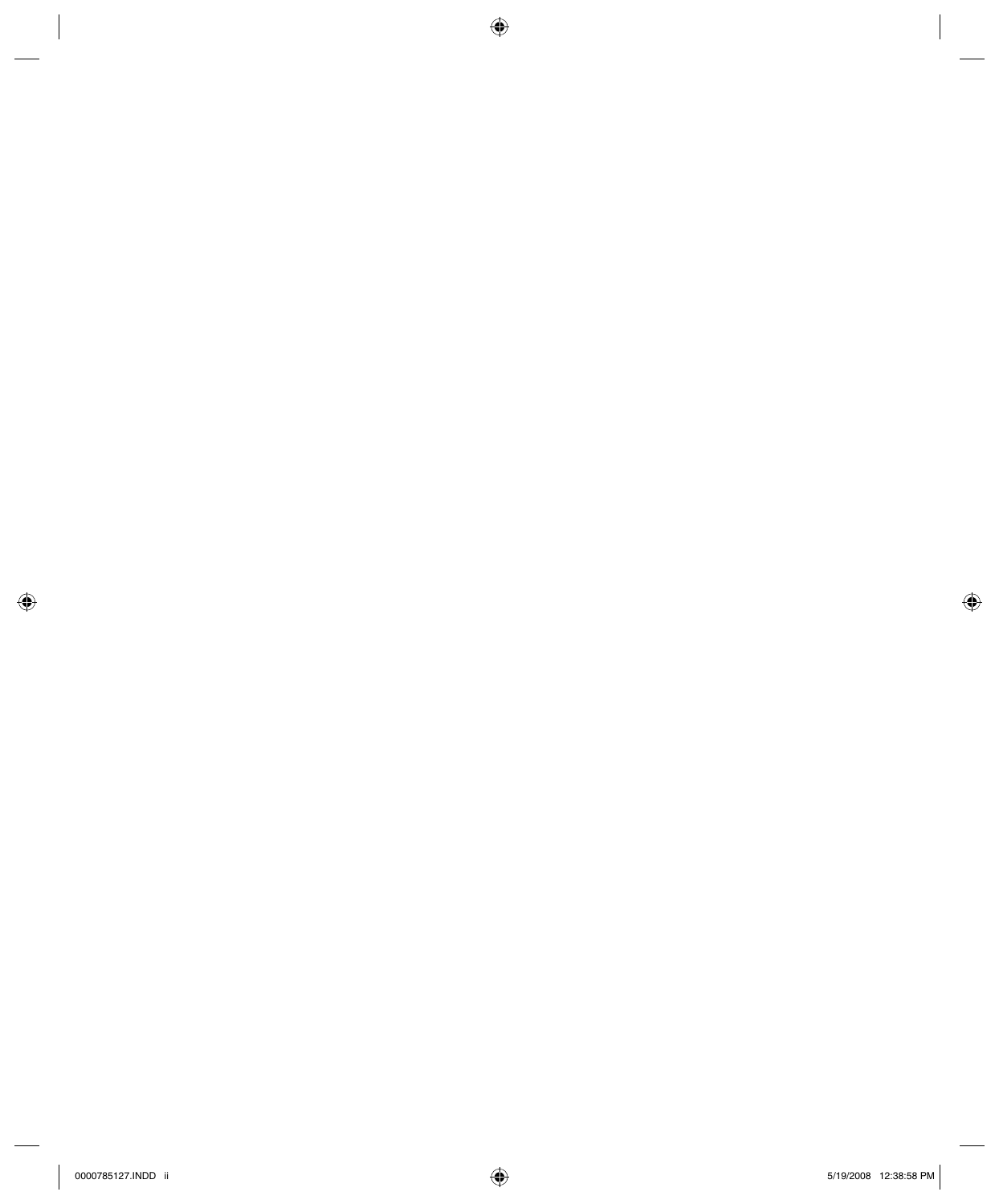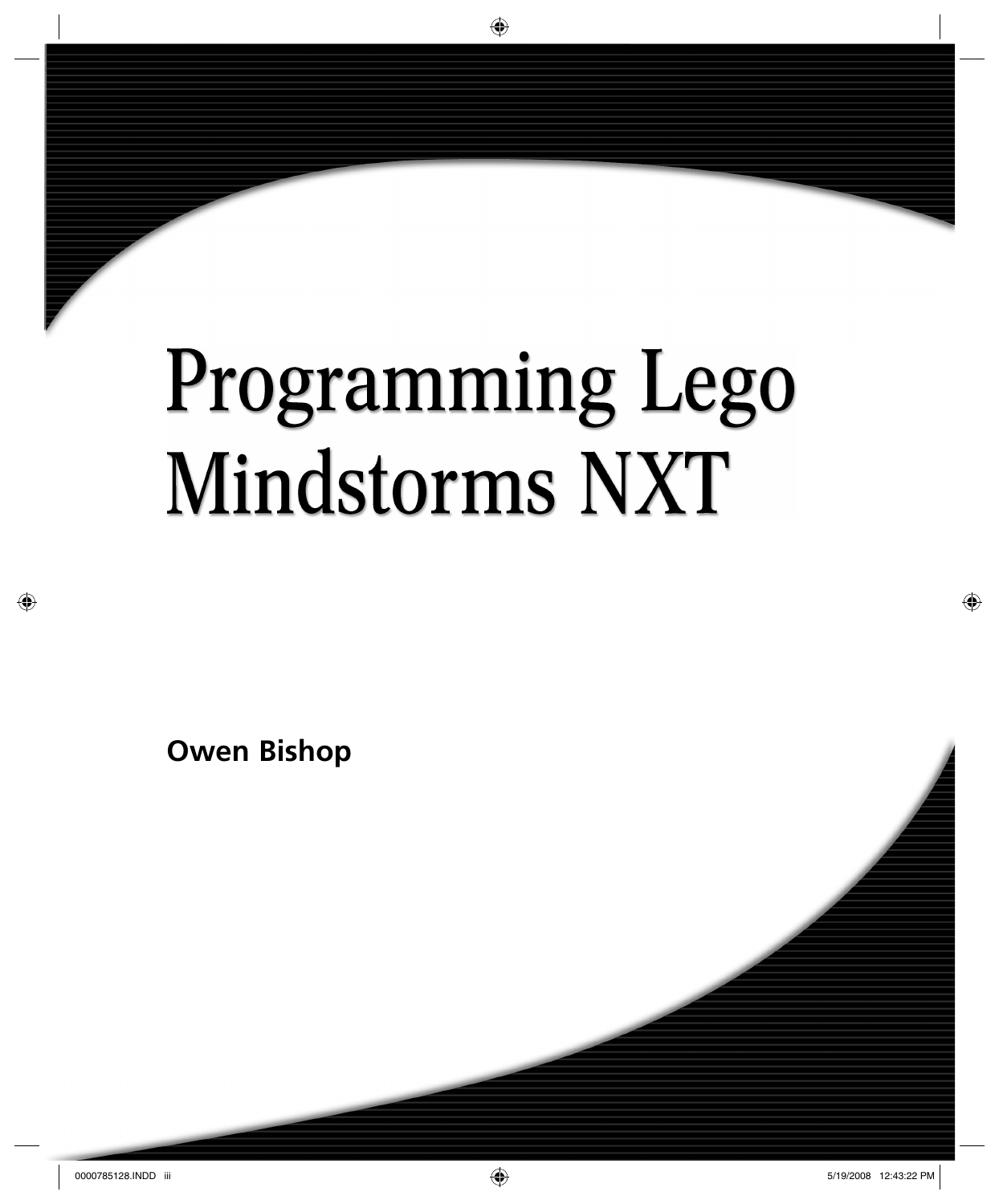# **Programming Lego Mindstorms NXT**

⊕

**Owen Bishop** 

♠

♠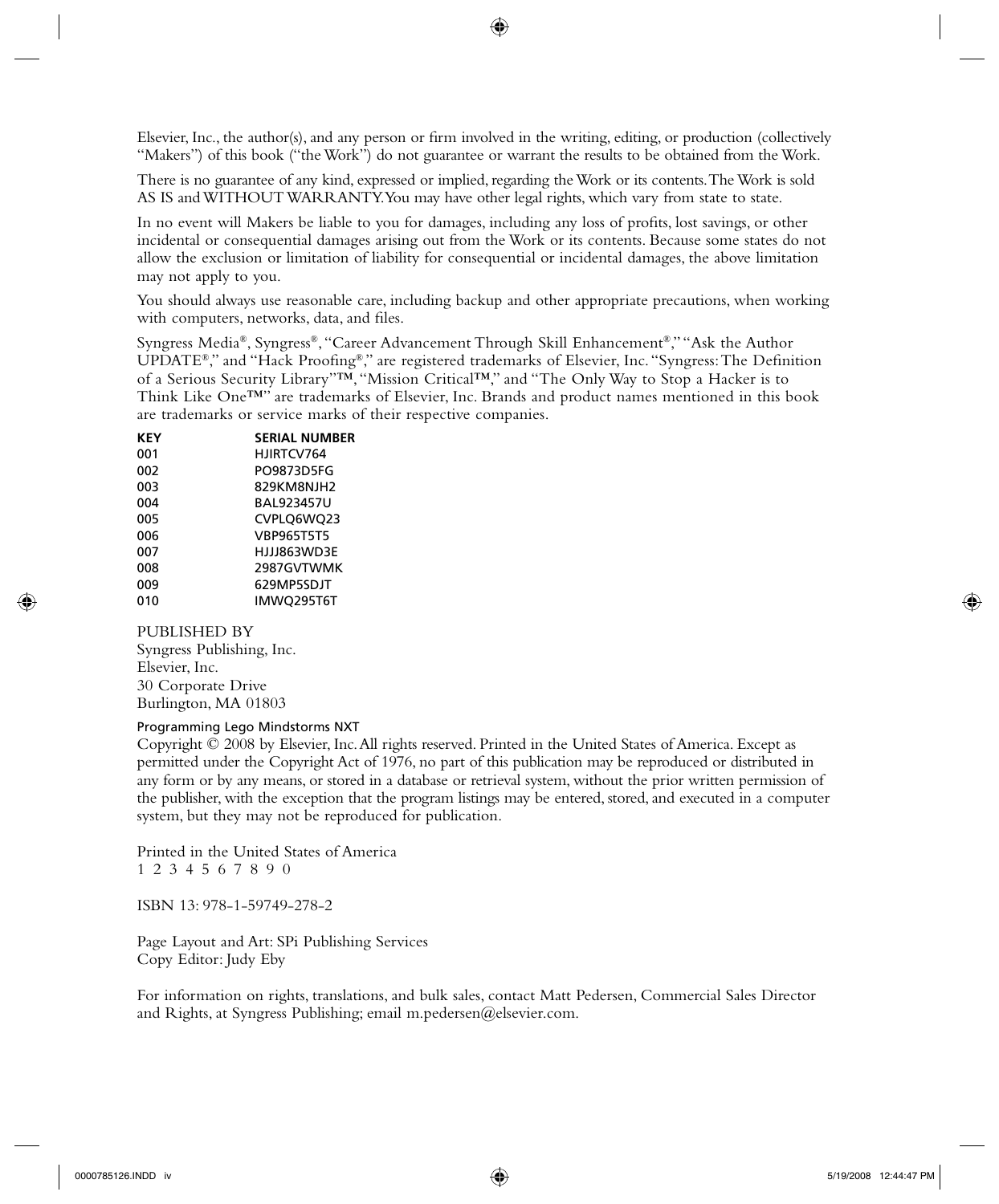Elsevier, Inc., the author(s), and any person or firm involved in the writing, editing, or production (collectively "Makers") of this book ("the Work") do not guarantee or warrant the results to be obtained from the Work.

⊕

There is no guarantee of any kind, expressed or implied, regarding the Work or its contents. The Work is sold AS IS and WITHOUT WARRANTY. You may have other legal rights, which vary from state to state.

In no event will Makers be liable to you for damages, including any loss of profits, lost savings, or other incidental or consequential damages arising out from the Work or its contents. Because some states do not allow the exclusion or limitation of liability for consequential or incidental damages, the above limitation may not apply to you.

You should always use reasonable care, including backup and other appropriate precautions, when working with computers, networks, data, and files.

Syngress Media®, Syngress®, "Career Advancement Through Skill Enhancement®," "Ask the Author UPDATE®," and "Hack Proofing®," are registered trademarks of Elsevier, Inc. "Syngress: The Definition of a Serious Security Library"™, "Mission Critical™," and "The Only Way to Stop a Hacker is to Think Like One™" are trademarks of Elsevier, Inc. Brands and product names mentioned in this book are trademarks or service marks of their respective companies.

| KEY | <b>SERIAL NUMBER</b> |
|-----|----------------------|
| 001 | HJIRTCV764           |
| 002 | PO9873D5FG           |
| 003 | 829KM8NJH2           |
| 004 | <b>BAL923457U</b>    |
| 005 | CVPLO6WO23           |
| 006 | <b>VBP965T5T5</b>    |
| 007 | HJJJ863WD3E          |
| 008 | 2987GVTWMK           |
| 009 | 629MP5SDJT           |
| 010 | IMWO295T6T           |
|     |                      |

### PUBLISHED BY

Syngress Publishing, Inc. Elsevier, Inc. 30 Corporate Drive Burlington, MA 01803

#### Programming Lego Mindstorms NXT

Copyright © 2008 by Elsevier, Inc. All rights reserved. Printed in the United States of America. Except as permitted under the Copyright Act of 1976, no part of this publication may be reproduced or distributed in any form or by any means, or stored in a database or retrieval system, without the prior written permission of the publisher, with the exception that the program listings may be entered, stored, and executed in a computer system, but they may not be reproduced for publication.

Printed in the United States of America 1 2 3 4 5 6 7 8 9 0

ISBN 13: 978-1-59749-278-2

Page Layout and Art: SPi Publishing Services Copy Editor: Judy Eby

For information on rights, translations, and bulk sales, contact Matt Pedersen, Commercial Sales Director and Rights, at Syngress Publishing; email m.pedersen@elsevier.com.

⊕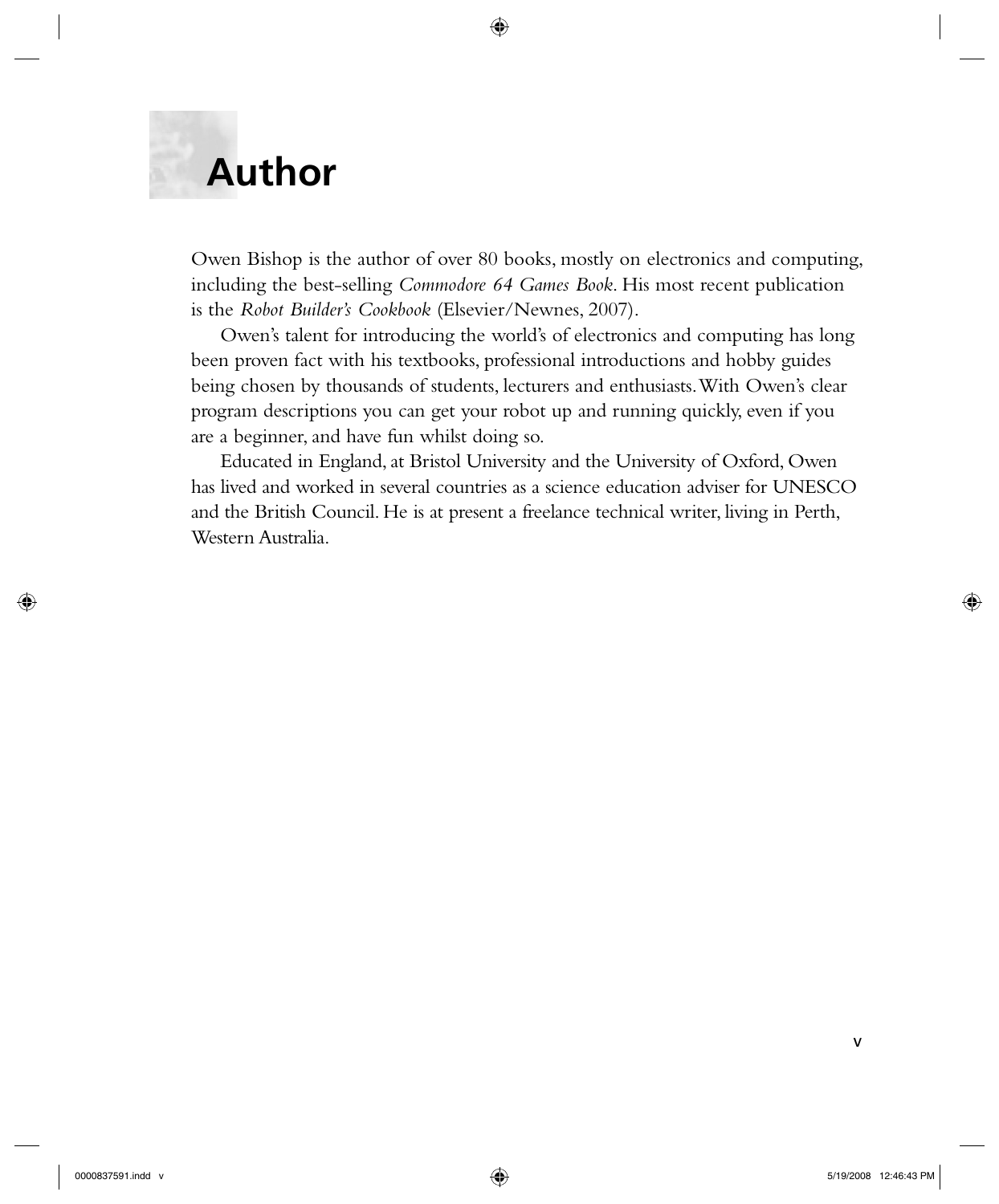## **Author**

Owen Bishop is the author of over 80 books, mostly on electronics and computing, including the best-selling *Commodore 64 Games Book*. His most recent publication is the *Robot Builder's Cookbook* (Elsevier/Newnes, 2007).

⊕

Owen's talent for introducing the world's of electronics and computing has long been proven fact with his textbooks, professional introductions and hobby guides being chosen by thousands of students, lecturers and enthusiasts. With Owen's clear program descriptions you can get your robot up and running quickly, even if you are a beginner, and have fun whilst doing so.

Educated in England, at Bristol University and the University of Oxford, Owen has lived and worked in several countries as a science education adviser for UNESCO and the British Council. He is at present a freelance technical writer, living in Perth, Western Australia.

⊕

⊕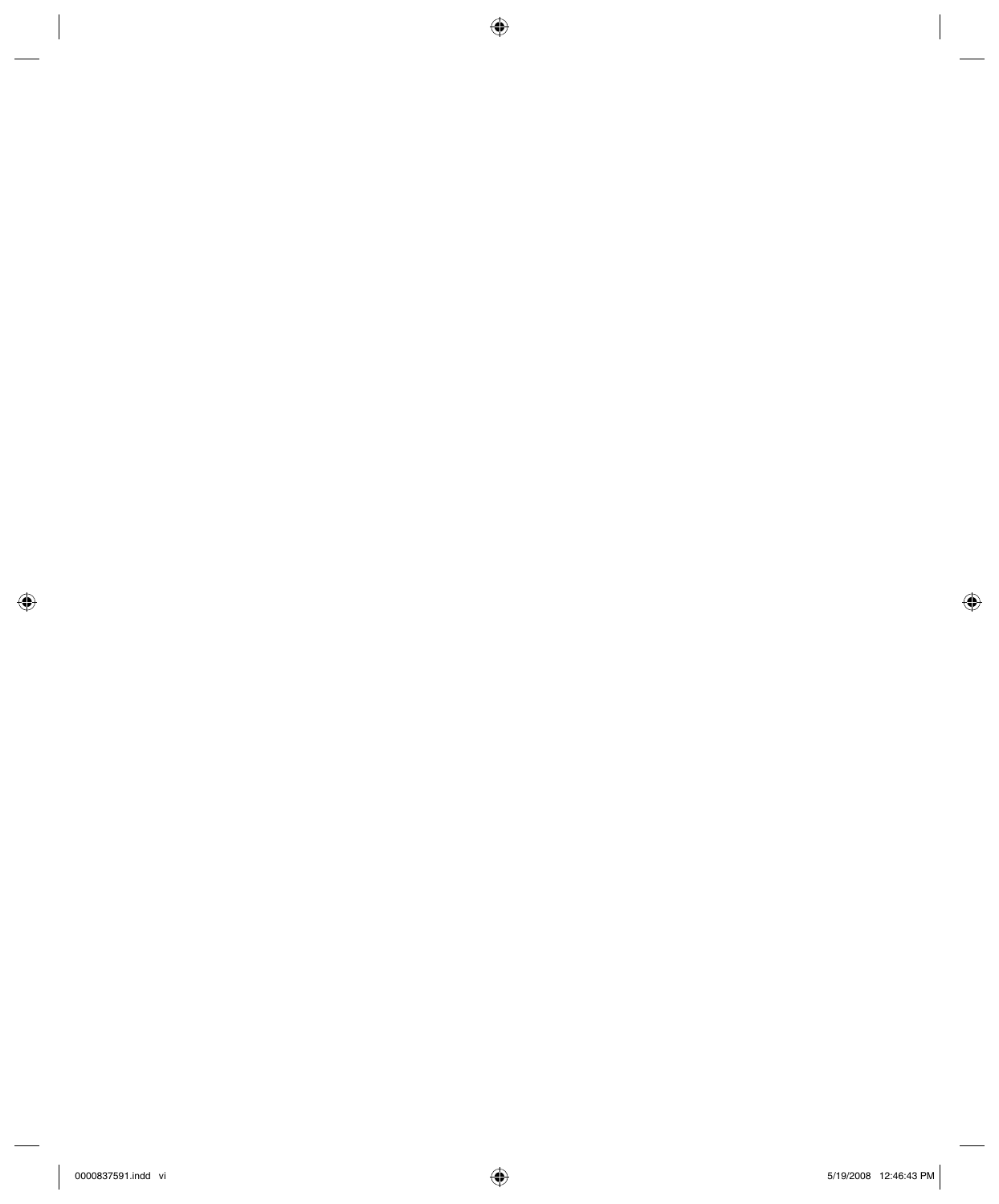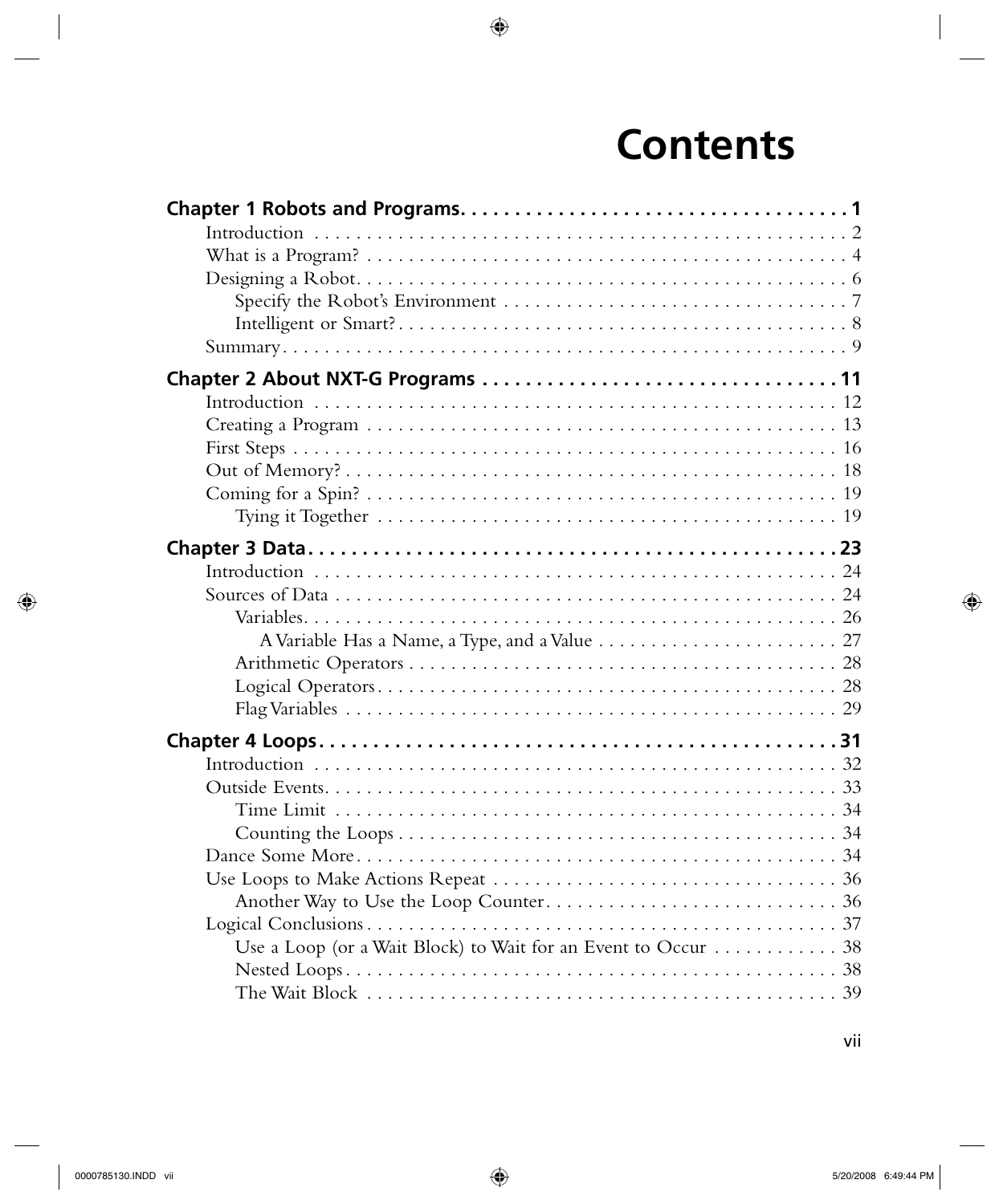$\bigoplus$ 

# **Contents**

| Use a Loop (or a Wait Block) to Wait for an Event to Occur  38 |  |
|----------------------------------------------------------------|--|
|                                                                |  |
|                                                                |  |

vii

 $\bigoplus$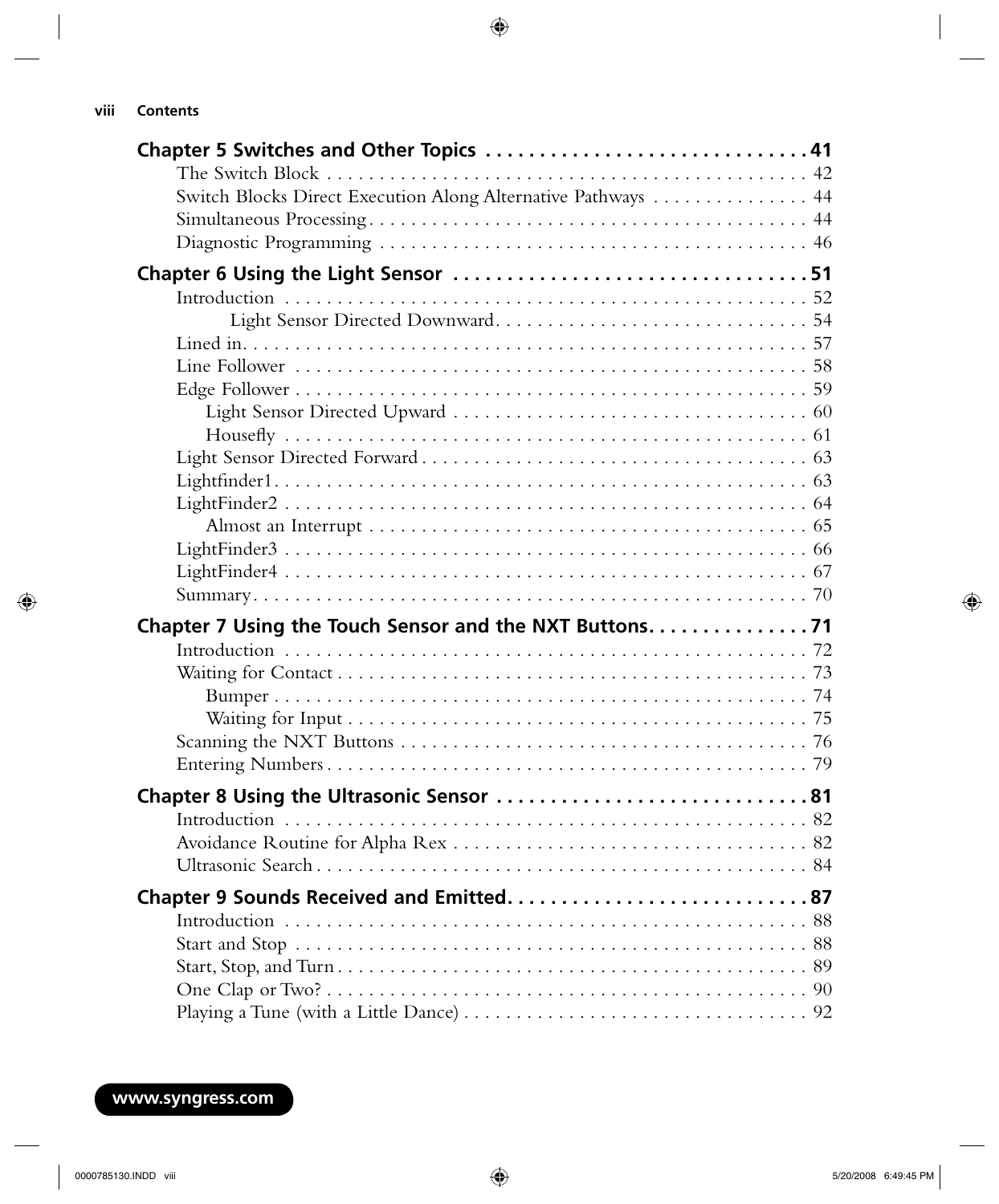$\bigoplus$ 

### **viii Contents**

| Switch Blocks Direct Execution Along Alternative Pathways  44 |  |
|---------------------------------------------------------------|--|
|                                                               |  |
|                                                               |  |
|                                                               |  |
|                                                               |  |
|                                                               |  |
|                                                               |  |
|                                                               |  |
|                                                               |  |
|                                                               |  |
|                                                               |  |
|                                                               |  |
|                                                               |  |
|                                                               |  |
|                                                               |  |
|                                                               |  |
|                                                               |  |
| Chapter 7 Using the Touch Sensor and the NXT Buttons. 71      |  |
|                                                               |  |
|                                                               |  |
|                                                               |  |
|                                                               |  |
|                                                               |  |
|                                                               |  |
|                                                               |  |
|                                                               |  |
|                                                               |  |
| Ultrasonic Search                                             |  |
|                                                               |  |
|                                                               |  |
|                                                               |  |
|                                                               |  |
|                                                               |  |
|                                                               |  |

**www.syngress.com**

 $\bigoplus$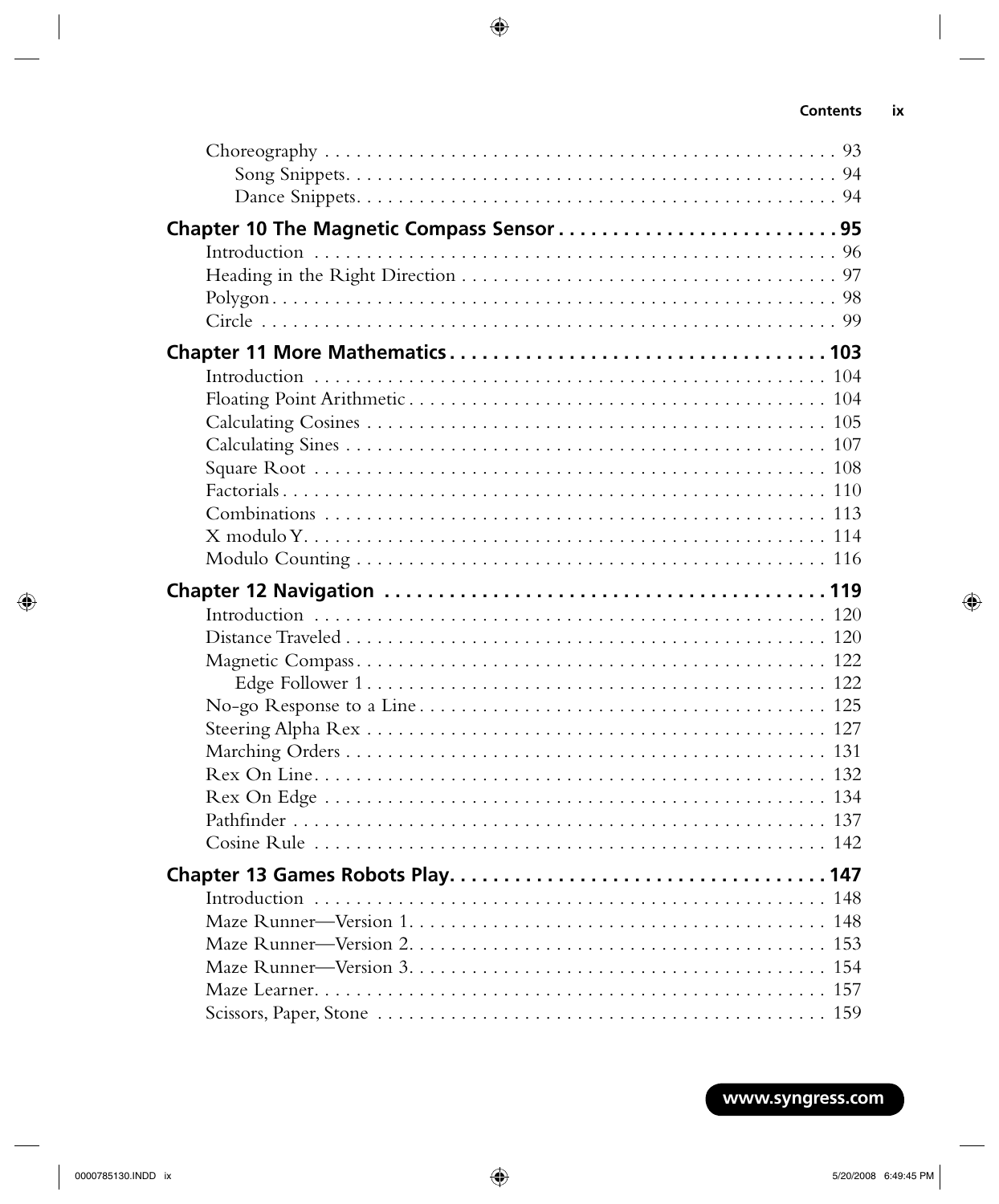**Contents ix**

| Chapter 10 The Magnetic Compass Sensor95 |  |
|------------------------------------------|--|
|                                          |  |
|                                          |  |
|                                          |  |
|                                          |  |
|                                          |  |
|                                          |  |
|                                          |  |
|                                          |  |
|                                          |  |
|                                          |  |
|                                          |  |
|                                          |  |
|                                          |  |
|                                          |  |
|                                          |  |
|                                          |  |
|                                          |  |
|                                          |  |
|                                          |  |
|                                          |  |
|                                          |  |
|                                          |  |
|                                          |  |
|                                          |  |
|                                          |  |
|                                          |  |
|                                          |  |
|                                          |  |
|                                          |  |
|                                          |  |
|                                          |  |
|                                          |  |
|                                          |  |

 $\bigoplus$ 

**www.syngress.com**

 $\bigoplus$ 

0000785130.INDD ix  $\bigoplus$